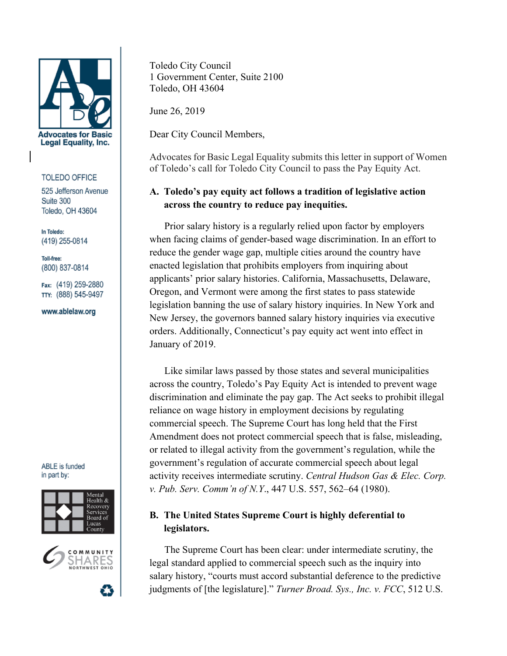

#### **TOLEDO OFFICE**

525 Jefferson Avenue Suite 300 Toledo, OH 43604

In Toledo: (419) 255-0814

Toll-free: (800) 837-0814

Fax: (419) 259-2880 TTY: (888) 545-9497

www.ablelaw.org

**ABLE** is funded in part by:





Toledo City Council 1 Government Center, Suite 2100 Toledo, OH 43604

June 26, 2019

Dear City Council Members,

Advocates for Basic Legal Equality submits this letter in support of Women of Toledo's call for Toledo City Council to pass the Pay Equity Act.

# **A. Toledo's pay equity act follows a tradition of legislative action across the country to reduce pay inequities.**

Prior salary history is a regularly relied upon factor by employers when facing claims of gender-based wage discrimination. In an effort to reduce the gender wage gap, multiple cities around the country have enacted legislation that prohibits employers from inquiring about applicants' prior salary histories. California, Massachusetts, Delaware, Oregon, and Vermont were among the first states to pass statewide legislation banning the use of salary history inquiries. In New York and New Jersey, the governors banned salary history inquiries via executive orders. Additionally, Connecticut's pay equity act went into effect in January of 2019.

Like similar laws passed by those states and several municipalities across the country, Toledo's Pay Equity Act is intended to prevent wage discrimination and eliminate the pay gap. The Act seeks to prohibit illegal reliance on wage history in employment decisions by regulating commercial speech. The Supreme Court has long held that the First Amendment does not protect commercial speech that is false, misleading, or related to illegal activity from the government's regulation, while the government's regulation of accurate commercial speech about legal activity receives intermediate scrutiny. *Central Hudson Gas & Elec. Corp. v. Pub. Serv. Comm'n of N.Y*., 447 U.S. 557, 562–64 (1980).

# **B. The United States Supreme Court is highly deferential to legislators.**

The Supreme Court has been clear: under intermediate scrutiny, the legal standard applied to commercial speech such as the inquiry into salary history, "courts must accord substantial deference to the predictive judgments of [the legislature]." *Turner Broad. Sys., Inc. v. FCC*, 512 U.S.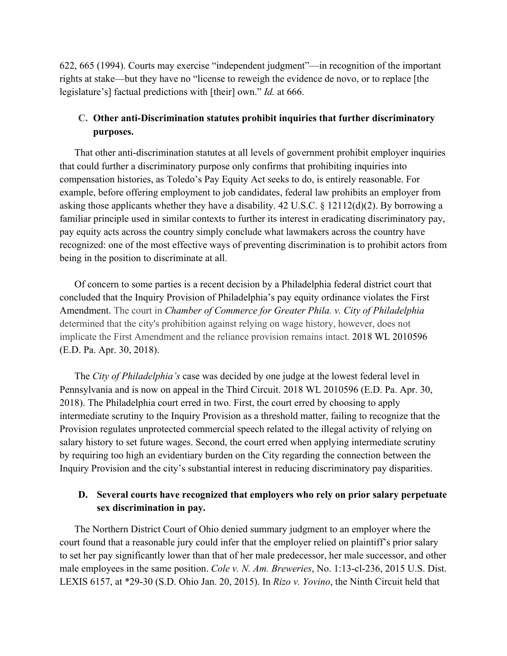622, 665 (1994). Courts may exercise "independent judgment"—in recognition of the important rights at stake—but they have no "license to reweigh the evidence de novo, or to replace [the legislature's] factual predictions with [their] own." *Id.* at 666.

## **C. Other anti-Discrimination statutes prohibit inquiries that further discriminatory purposes.**

That other anti-discrimination statutes at all levels of government prohibit employer inquiries that could further a discriminatory purpose only confirms that prohibiting inquiries into compensation histories, as Toledo's Pay Equity Act seeks to do, is entirely reasonable. For example, before offering employment to job candidates, federal law prohibits an employer from asking those applicants whether they have a disability. 42 U.S.C. § 12112(d)(2). By borrowing a familiar principle used in similar contexts to further its interest in eradicating discriminatory pay, pay equity acts across the country simply conclude what lawmakers across the country have recognized: one of the most effective ways of preventing discrimination is to prohibit actors from being in the position to discriminate at all.

Of concern to some parties is a recent decision by a Philadelphia federal district court that concluded that the Inquiry Provision of Philadelphia's pay equity ordinance violates the First Amendment. The court in *Chamber of Commerce for Greater Phila. v. City of Philadelphia* determined that the city's prohibition against relying on wage history, however, does not implicate the First Amendment and the reliance provision remains intact. 2018 WL 2010596 (E.D. Pa. Apr. 30, 2018).

The *City of Philadelphia's* case was decided by one judge at the lowest federal level in Pennsylvania and is now on appeal in the Third Circuit. 2018 WL 2010596 (E.D. Pa. Apr. 30, 2018). The Philadelphia court erred in two. First, the court erred by choosing to apply intermediate scrutiny to the Inquiry Provision as a threshold matter, failing to recognize that the Provision regulates unprotected commercial speech related to the illegal activity of relying on salary history to set future wages. Second, the court erred when applying intermediate scrutiny by requiring too high an evidentiary burden on the City regarding the connection between the Inquiry Provision and the city's substantial interest in reducing discriminatory pay disparities.

## **D. Several courts have recognized that employers who rely on prior salary perpetuate sex discrimination in pay.**

The Northern District Court of Ohio denied summary judgment to an employer where the court found that a reasonable jury could infer that the employer relied on plaintiff's prior salary to set her pay significantly lower than that of her male predecessor, her male successor, and other male employees in the same position. *Cole v. N. Am. Breweries*, No. 1:13-cl-236, 2015 U.S. Dist. LEXIS 6157, at \*29-30 (S.D. Ohio Jan. 20, 2015). In *Rizo v. Yovino*, the Ninth Circuit held that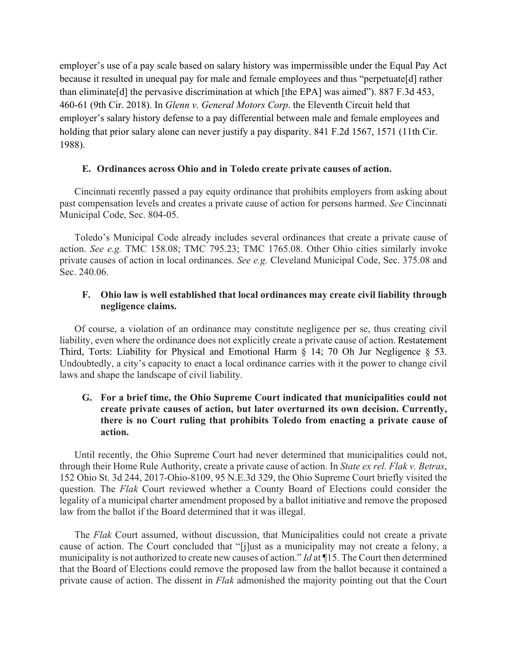employer's use of a pay scale based on salary history was impermissible under the Equal Pay Act because it resulted in unequal pay for male and female employees and thus "perpetuate[d] rather than eliminate[d] the pervasive discrimination at which [the EPA] was aimed"). 887 F.3d 453, 460-61 (9th Cir. 2018). In *Glenn v. General Motors Corp*. the Eleventh Circuit held that employer's salary history defense to a pay differential between male and female employees and holding that prior salary alone can never justify a pay disparity. 841 F.2d 1567, 1571 (11th Cir. 1988).

#### **E. Ordinances across Ohio and in Toledo create private causes of action.**

Cincinnati recently passed a pay equity ordinance that prohibits employers from asking about past compensation levels and creates a private cause of action for persons harmed. *See* Cincinnati Municipal Code, Sec. 804-05.

Toledo's Municipal Code already includes several ordinances that create a private cause of action. *See e.g.* TMC 158.08; TMC 795.23; TMC 1765.08. Other Ohio cities similarly invoke private causes of action in local ordinances. *See e.g.* Cleveland Municipal Code, Sec. 375.08 and Sec. 240.06.

### **F. Ohio law is well established that local ordinances may create civil liability through negligence claims.**

Of course, a violation of an ordinance may constitute negligence per se, thus creating civil liability, even where the ordinance does not explicitly create a private cause of action. Restatement Third, Torts: Liability for Physical and Emotional Harm § 14; 70 Oh Jur Negligence § 53. Undoubtedly, a city's capacity to enact a local ordinance carries with it the power to change civil laws and shape the landscape of civil liability.

### **G. For a brief time, the Ohio Supreme Court indicated that municipalities could not create private causes of action, but later overturned its own decision. Currently, there is no Court ruling that prohibits Toledo from enacting a private cause of action.**

Until recently, the Ohio Supreme Court had never determined that municipalities could not, through their Home Rule Authority, create a private cause of action. In *State ex rel. Flak v. Betras*, 152 Ohio St. 3d 244, 2017-Ohio-8109, 95 N.E.3d 329, the Ohio Supreme Court briefly visited the question. The *Flak* Court reviewed whether a County Board of Elections could consider the legality of a municipal charter amendment proposed by a ballot initiative and remove the proposed law from the ballot if the Board determined that it was illegal.

The *Flak* Court assumed, without discussion, that Municipalities could not create a private cause of action. The Court concluded that "[j]ust as a municipality may not create a felony, a municipality is not authorized to create new causes of action." *Id* at ¶15. The Court then determined that the Board of Elections could remove the proposed law from the ballot because it contained a private cause of action. The dissent in *Flak* admonished the majority pointing out that the Court